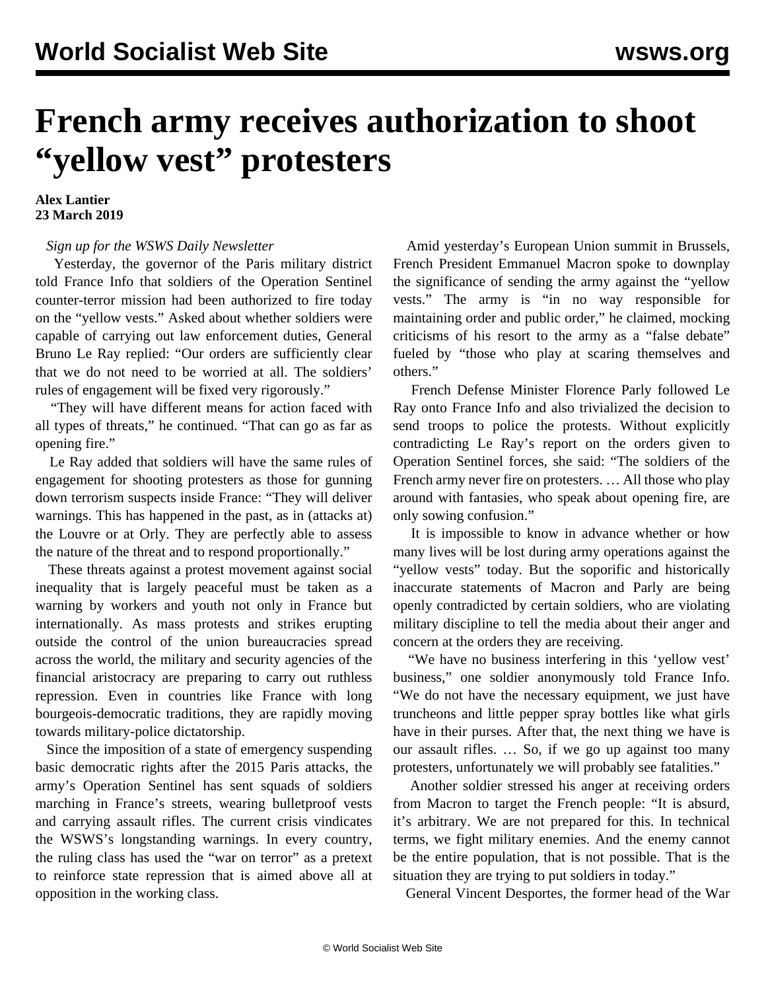## **French army receives authorization to shoot "yellow vest" protesters**

## **Alex Lantier 23 March 2019**

## *[Sign up for the WSWS Daily Newsletter](/en/special/newsletter.html)*

 Yesterday, the governor of the Paris military district told France Info that soldiers of the Operation Sentinel counter-terror mission had been authorized to fire today on the "yellow vests." Asked about whether soldiers were capable of carrying out law enforcement duties, General Bruno Le Ray replied: "Our orders are sufficiently clear that we do not need to be worried at all. The soldiers' rules of engagement will be fixed very rigorously."

 "They will have different means for action faced with all types of threats," he continued. "That can go as far as opening fire."

 Le Ray added that soldiers will have the same rules of engagement for shooting protesters as those for gunning down terrorism suspects inside France: "They will deliver warnings. This has happened in the past, as in (attacks at) the Louvre or at Orly. They are perfectly able to assess the nature of the threat and to respond proportionally."

 These threats against a protest movement against social inequality that is largely peaceful must be taken as a warning by workers and youth not only in France but internationally. As mass protests and strikes erupting outside the control of the union bureaucracies spread across the world, the military and security agencies of the financial aristocracy are preparing to carry out ruthless repression. Even in countries like France with long bourgeois-democratic traditions, they are rapidly moving towards military-police dictatorship.

 Since the imposition of a state of emergency suspending basic democratic rights after the 2015 Paris attacks, the army's Operation Sentinel has sent squads of soldiers marching in France's streets, wearing bulletproof vests and carrying assault rifles. The current crisis vindicates the WSWS's longstanding warnings. In every country, the ruling class has used the "war on terror" as a pretext to reinforce state repression that is aimed above all at opposition in the working class.

 Amid yesterday's European Union summit in Brussels, French President Emmanuel Macron spoke to downplay the significance of sending the army against the "yellow vests." The army is "in no way responsible for maintaining order and public order," he claimed, mocking criticisms of his resort to the army as a "false debate" fueled by "those who play at scaring themselves and others."

 French Defense Minister Florence Parly followed Le Ray onto France Info and also trivialized the decision to send troops to police the protests. Without explicitly contradicting Le Ray's report on the orders given to Operation Sentinel forces, she said: "The soldiers of the French army never fire on protesters. … All those who play around with fantasies, who speak about opening fire, are only sowing confusion."

 It is impossible to know in advance whether or how many lives will be lost during army operations against the "yellow vests" today. But the soporific and historically inaccurate statements of Macron and Parly are being openly contradicted by certain soldiers, who are violating military discipline to tell the media about their anger and concern at the orders they are receiving.

 "We have no business interfering in this 'yellow vest' business," one soldier anonymously told France Info. "We do not have the necessary equipment, we just have truncheons and little pepper spray bottles like what girls have in their purses. After that, the next thing we have is our assault rifles. … So, if we go up against too many protesters, unfortunately we will probably see fatalities."

 Another soldier stressed his anger at receiving orders from Macron to target the French people: "It is absurd, it's arbitrary. We are not prepared for this. In technical terms, we fight military enemies. And the enemy cannot be the entire population, that is not possible. That is the situation they are trying to put soldiers in today."

General Vincent Desportes, the former head of the War